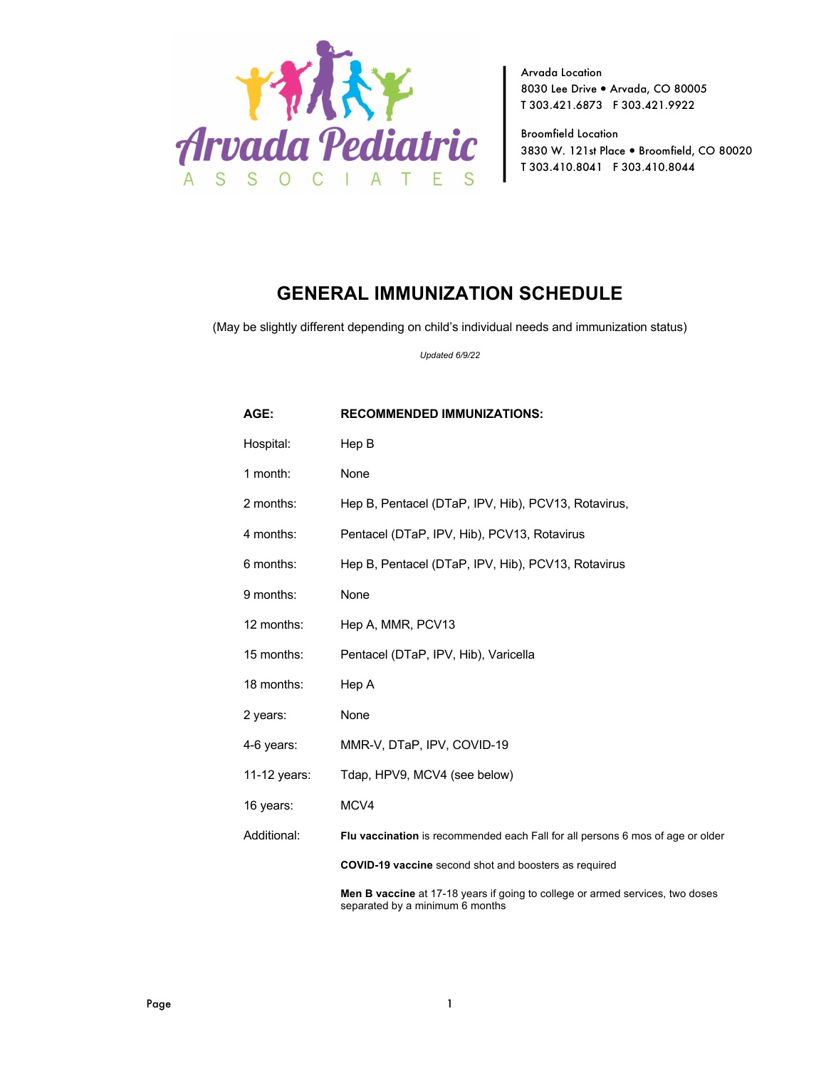

Arvada Location 8030 Lee Drive . Arvada, CO 80005 T 303.421.6873 F 303.421.9922

Broomfield Location 3830 W. 121st Place . Broomfield, CO 80020 T 303.410.8041 F 303.410.8044

## **GENERAL IMMUNIZATION SCHEDULE**

(May be slightly different depending on child's individual needs and immunization status)

*Updated 6/9/22*

| AGE:         | <b>RECOMMENDED IMMUNIZATIONS:</b>                                                                                       |
|--------------|-------------------------------------------------------------------------------------------------------------------------|
| Hospital:    | Hep B                                                                                                                   |
| 1 month:     | None                                                                                                                    |
| 2 months:    | Hep B, Pentacel (DTaP, IPV, Hib), PCV13, Rotavirus,                                                                     |
| 4 months:    | Pentacel (DTaP, IPV, Hib), PCV13, Rotavirus                                                                             |
| 6 months:    | Hep B, Pentacel (DTaP, IPV, Hib), PCV13, Rotavirus                                                                      |
| 9 months:    | None                                                                                                                    |
| 12 months:   | Hep A, MMR, PCV13                                                                                                       |
| 15 months:   | Pentacel (DTaP, IPV, Hib), Varicella                                                                                    |
| 18 months:   | Hep A                                                                                                                   |
| 2 years:     | None                                                                                                                    |
| 4-6 years:   | MMR-V, DTaP, IPV, COVID-19                                                                                              |
| 11-12 years: | Tdap, HPV9, MCV4 (see below)                                                                                            |
| 16 years:    | MCV4                                                                                                                    |
| Additional:  | Flu vaccination is recommended each Fall for all persons 6 mos of age or older                                          |
|              | <b>COVID-19 vaccine</b> second shot and boosters as required                                                            |
|              | <b>Men B vaccine</b> at 17-18 years if going to college or armed services, two doses<br>separated by a minimum 6 months |